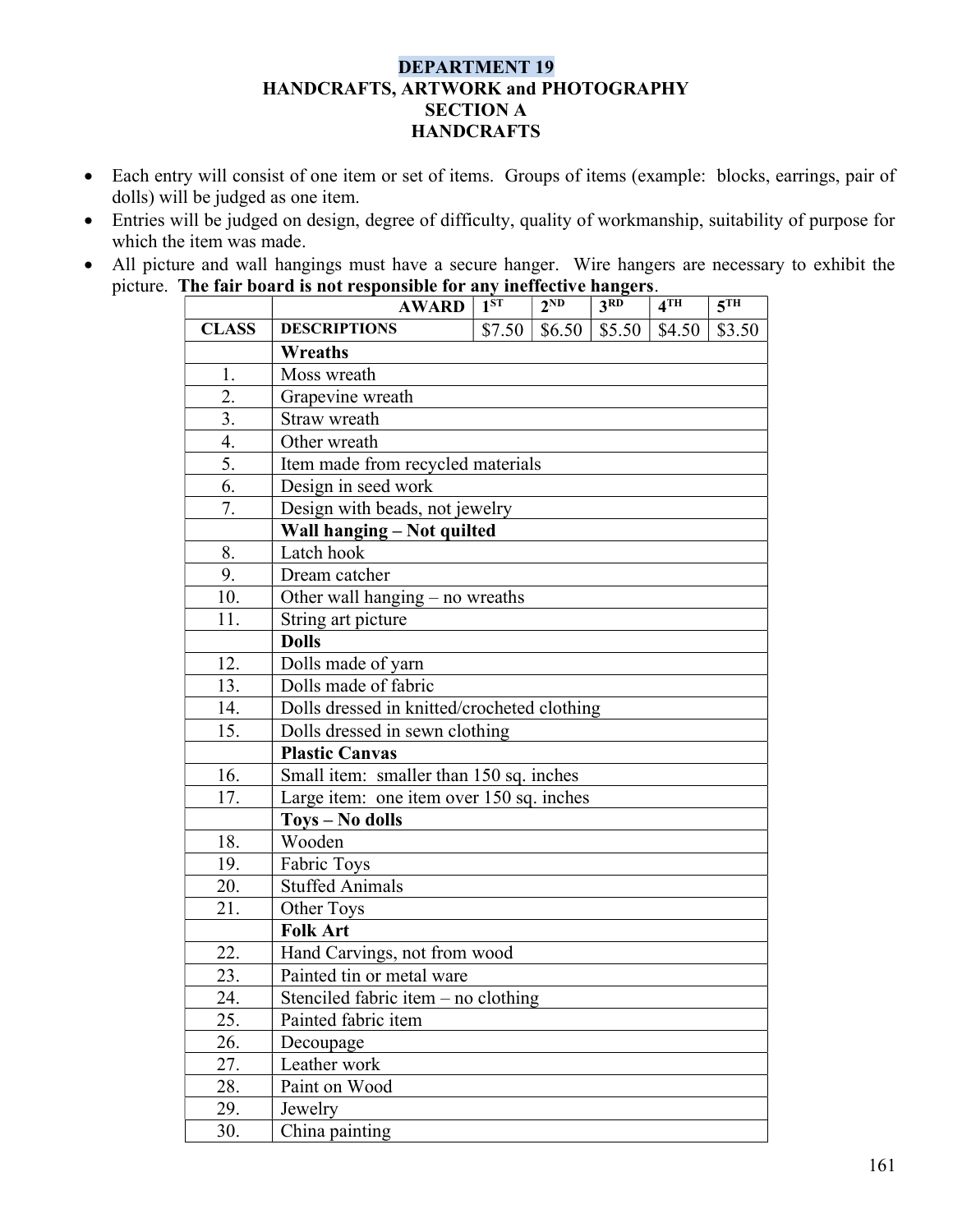## DEPARTMENT 19 HANDCRAFTS, ARTWORK and PHOTOGRAPHY SECTION A **HANDCRAFTS**

- Each entry will consist of one item or set of items. Groups of items (example: blocks, earrings, pair of dolls) will be judged as one item.
- Entries will be judged on design, degree of difficulty, quality of workmanship, suitability of purpose for which the item was made.
- All picture and wall hangings must have a secure hanger. Wire hangers are necessary to exhibit the picture. The fair board is not responsible for any ineffective hangers.

|              | <b>AWARD</b>                                | $1^{ST}$                          | $2^{ND}$ | 3 <sup>RD</sup> | $4$ TH | $\overline{5}$ TH |  |  |
|--------------|---------------------------------------------|-----------------------------------|----------|-----------------|--------|-------------------|--|--|
| <b>CLASS</b> | <b>DESCRIPTIONS</b>                         | \$7.50                            | \$6.50   | \$5.50          | \$4.50 | \$3.50            |  |  |
|              | Wreaths                                     |                                   |          |                 |        |                   |  |  |
| 1.           | Moss wreath                                 |                                   |          |                 |        |                   |  |  |
| 2.           | Grapevine wreath                            |                                   |          |                 |        |                   |  |  |
| 3.           | Straw wreath                                |                                   |          |                 |        |                   |  |  |
| 4.           | Other wreath                                |                                   |          |                 |        |                   |  |  |
| 5.           |                                             | Item made from recycled materials |          |                 |        |                   |  |  |
| 6.           | Design in seed work                         |                                   |          |                 |        |                   |  |  |
| 7.           | Design with beads, not jewelry              |                                   |          |                 |        |                   |  |  |
|              | Wall hanging - Not quilted                  |                                   |          |                 |        |                   |  |  |
| 8.           | Latch hook                                  |                                   |          |                 |        |                   |  |  |
| 9.           | Dream catcher                               |                                   |          |                 |        |                   |  |  |
| 10.          | Other wall hanging $-$ no wreaths           |                                   |          |                 |        |                   |  |  |
| 11.          | String art picture                          |                                   |          |                 |        |                   |  |  |
|              | <b>Dolls</b>                                |                                   |          |                 |        |                   |  |  |
| 12.          | Dolls made of yarn                          |                                   |          |                 |        |                   |  |  |
| 13.          | Dolls made of fabric                        |                                   |          |                 |        |                   |  |  |
| 14.          | Dolls dressed in knitted/crocheted clothing |                                   |          |                 |        |                   |  |  |
| 15.          | Dolls dressed in sewn clothing              |                                   |          |                 |        |                   |  |  |
|              | <b>Plastic Canvas</b>                       |                                   |          |                 |        |                   |  |  |
| 16.          | Small item: smaller than 150 sq. inches     |                                   |          |                 |        |                   |  |  |
| 17.          | Large item: one item over 150 sq. inches    |                                   |          |                 |        |                   |  |  |
|              | <b>Toys - No dolls</b>                      |                                   |          |                 |        |                   |  |  |
| 18.          | Wooden                                      |                                   |          |                 |        |                   |  |  |
| 19.          | Fabric Toys                                 |                                   |          |                 |        |                   |  |  |
| 20.          | <b>Stuffed Animals</b>                      |                                   |          |                 |        |                   |  |  |
| 21.          | Other Toys                                  |                                   |          |                 |        |                   |  |  |
|              | <b>Folk Art</b>                             |                                   |          |                 |        |                   |  |  |
| 22.          | Hand Carvings, not from wood                |                                   |          |                 |        |                   |  |  |
| 23.          | Painted tin or metal ware                   |                                   |          |                 |        |                   |  |  |
| 24.          | Stenciled fabric item $-$ no clothing       |                                   |          |                 |        |                   |  |  |
| 25.          | Painted fabric item                         |                                   |          |                 |        |                   |  |  |
| 26.          | Decoupage                                   |                                   |          |                 |        |                   |  |  |
| 27.          | Leather work                                |                                   |          |                 |        |                   |  |  |
| 28.          | Paint on Wood                               |                                   |          |                 |        |                   |  |  |
| 29.          | Jewelry                                     |                                   |          |                 |        |                   |  |  |
| 30.          | China painting                              |                                   |          |                 |        |                   |  |  |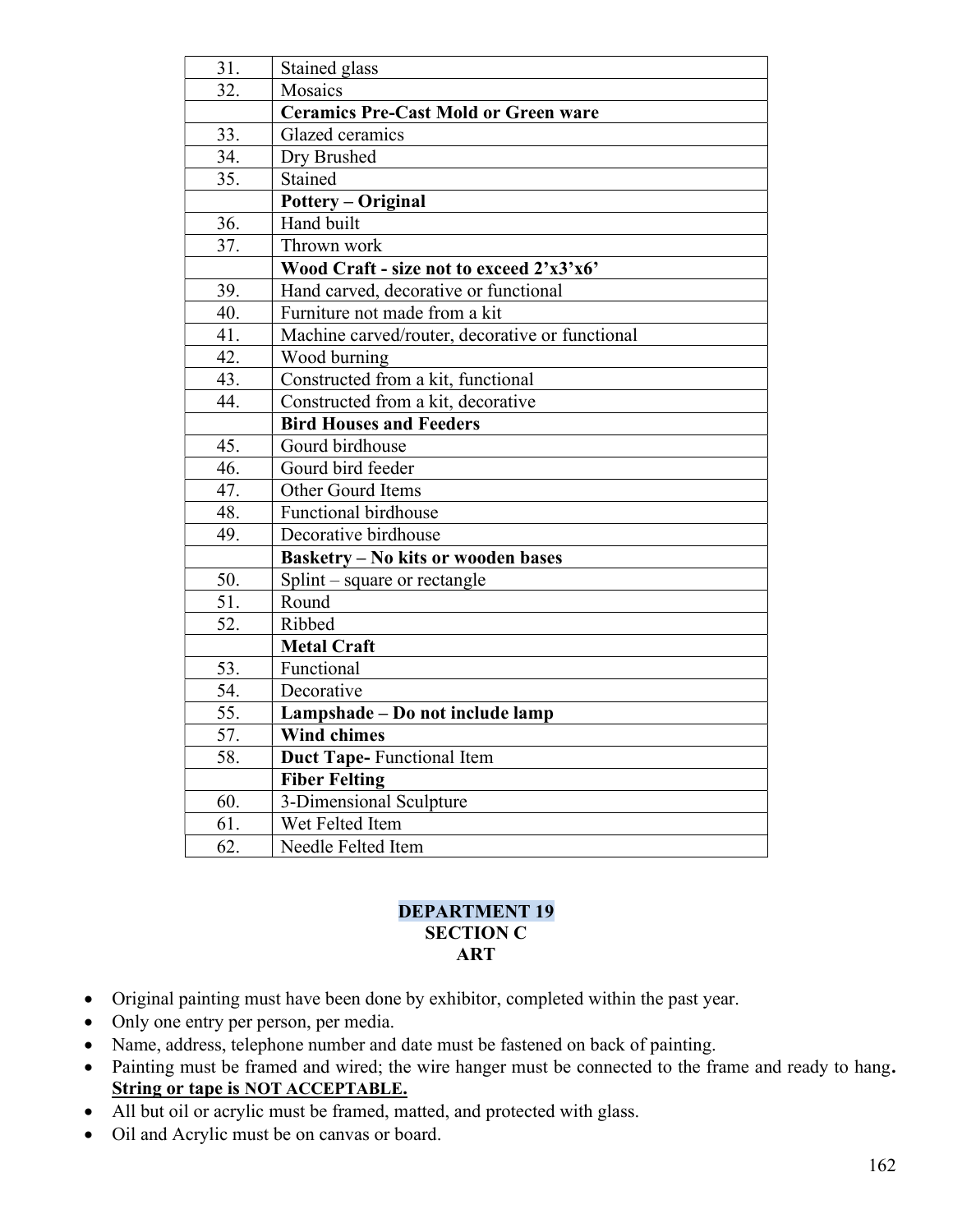| Stained glass                                   |  |  |  |  |
|-------------------------------------------------|--|--|--|--|
| Mosaics                                         |  |  |  |  |
| <b>Ceramics Pre-Cast Mold or Green ware</b>     |  |  |  |  |
| Glazed ceramics                                 |  |  |  |  |
| Dry Brushed                                     |  |  |  |  |
| Stained                                         |  |  |  |  |
| <b>Pottery - Original</b>                       |  |  |  |  |
| Hand built                                      |  |  |  |  |
| Thrown work                                     |  |  |  |  |
| Wood Craft - size not to exceed 2'x3'x6'        |  |  |  |  |
| Hand carved, decorative or functional           |  |  |  |  |
| Furniture not made from a kit                   |  |  |  |  |
| Machine carved/router, decorative or functional |  |  |  |  |
| Wood burning                                    |  |  |  |  |
| Constructed from a kit, functional              |  |  |  |  |
| Constructed from a kit, decorative              |  |  |  |  |
| <b>Bird Houses and Feeders</b>                  |  |  |  |  |
| Gourd birdhouse                                 |  |  |  |  |
| Gourd bird feeder                               |  |  |  |  |
| Other Gourd Items                               |  |  |  |  |
| Functional birdhouse                            |  |  |  |  |
| Decorative birdhouse                            |  |  |  |  |
| <b>Basketry - No kits or wooden bases</b>       |  |  |  |  |
| $Split$ – square or rectangle                   |  |  |  |  |
| Round                                           |  |  |  |  |
| Ribbed                                          |  |  |  |  |
| <b>Metal Craft</b>                              |  |  |  |  |
| Functional                                      |  |  |  |  |
| Decorative                                      |  |  |  |  |
| Lampshade - Do not include lamp                 |  |  |  |  |
| <b>Wind chimes</b>                              |  |  |  |  |
| <b>Duct Tape-Functional Item</b>                |  |  |  |  |
| <b>Fiber Felting</b>                            |  |  |  |  |
| 3-Dimensional Sculpture                         |  |  |  |  |
| Wet Felted Item                                 |  |  |  |  |
| Needle Felted Item                              |  |  |  |  |
|                                                 |  |  |  |  |

## DEPARTMENT 19 SECTION C ART

- Original painting must have been done by exhibitor, completed within the past year.
- Only one entry per person, per media.
- Name, address, telephone number and date must be fastened on back of painting.
- Painting must be framed and wired; the wire hanger must be connected to the frame and ready to hang. String or tape is NOT ACCEPTABLE.
- All but oil or acrylic must be framed, matted, and protected with glass.
- Oil and Acrylic must be on canvas or board.